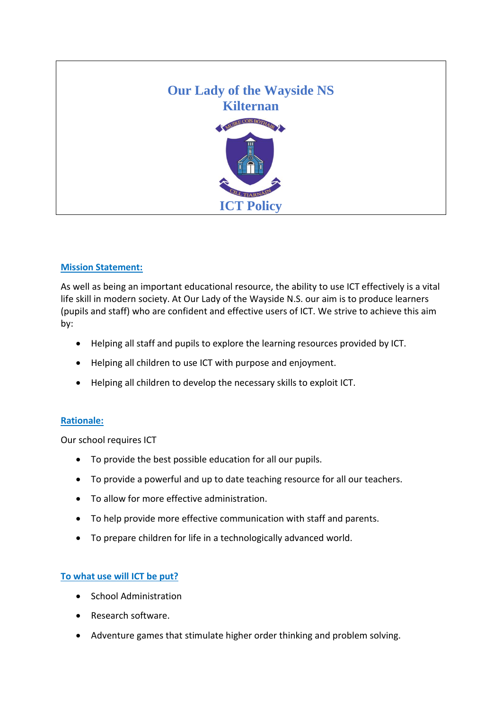

### **Mission Statement:**

As well as being an important educational resource, the ability to use ICT effectively is a vital life skill in modern society. At Our Lady of the Wayside N.S. our aim is to produce learners (pupils and staff) who are confident and effective users of ICT. We strive to achieve this aim by:

- Helping all staff and pupils to explore the learning resources provided by ICT.
- Helping all children to use ICT with purpose and enjoyment.
- Helping all children to develop the necessary skills to exploit ICT.

# **Rationale:**

Our school requires ICT

- To provide the best possible education for all our pupils.
- To provide a powerful and up to date teaching resource for all our teachers.
- To allow for more effective administration.
- To help provide more effective communication with staff and parents.
- To prepare children for life in a technologically advanced world.

# **To what use will ICT be put?**

- School Administration
- Research software.
- Adventure games that stimulate higher order thinking and problem solving.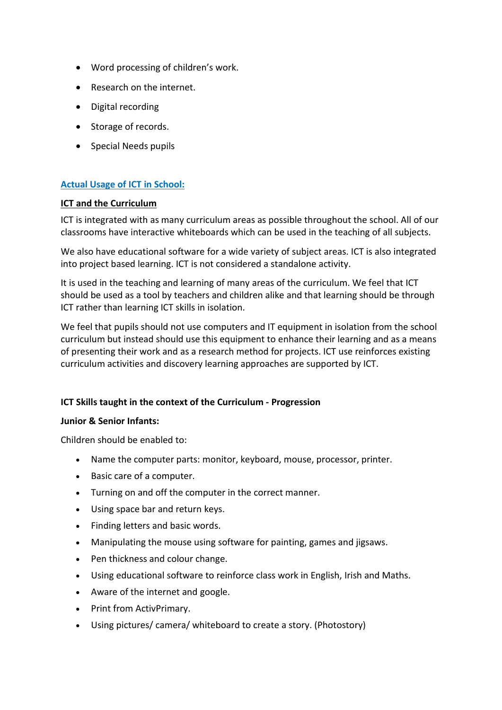- Word processing of children's work.
- Research on the internet.
- Digital recording
- Storage of records.
- Special Needs pupils

### **Actual Usage of ICT in School:**

### **ICT and the Curriculum**

ICT is integrated with as many curriculum areas as possible throughout the school. All of our classrooms have interactive whiteboards which can be used in the teaching of all subjects.

We also have educational software for a wide variety of subject areas. ICT is also integrated into project based learning. ICT is not considered a standalone activity.

It is used in the teaching and learning of many areas of the curriculum. We feel that ICT should be used as a tool by teachers and children alike and that learning should be through ICT rather than learning ICT skills in isolation.

We feel that pupils should not use computers and IT equipment in isolation from the school curriculum but instead should use this equipment to enhance their learning and as a means of presenting their work and as a research method for projects. ICT use reinforces existing curriculum activities and discovery learning approaches are supported by ICT.

### **ICT Skills taught in the context of the Curriculum - Progression**

### **Junior & Senior Infants:**

Children should be enabled to:

- Name the computer parts: monitor, keyboard, mouse, processor, printer.
- Basic care of a computer.
- Turning on and off the computer in the correct manner.
- Using space bar and return keys.
- Finding letters and basic words.
- Manipulating the mouse using software for painting, games and jigsaws.
- Pen thickness and colour change.
- Using educational software to reinforce class work in English, Irish and Maths.
- Aware of the internet and google.
- Print from ActivPrimary.
- Using pictures/ camera/ whiteboard to create a story. (Photostory)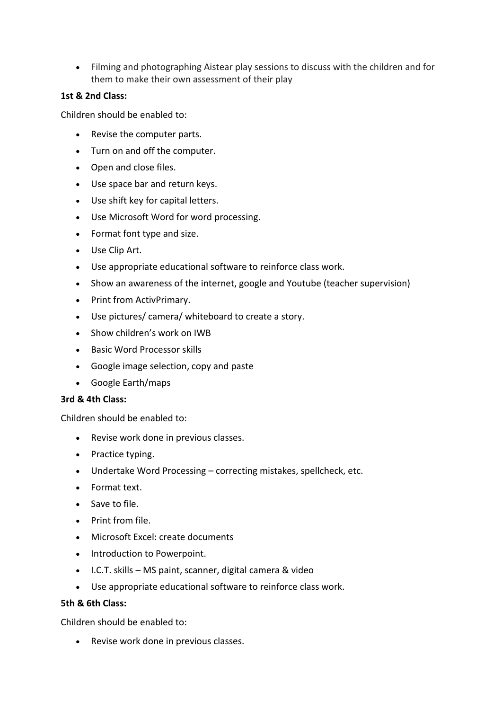Filming and photographing Aistear play sessions to discuss with the children and for them to make their own assessment of their play

### **1st & 2nd Class:**

Children should be enabled to:

- Revise the computer parts.
- Turn on and off the computer.
- Open and close files.
- Use space bar and return keys.
- Use shift key for capital letters.
- Use Microsoft Word for word processing.
- Format font type and size.
- Use Clip Art.
- Use appropriate educational software to reinforce class work.
- Show an awareness of the internet, google and Youtube (teacher supervision)
- Print from ActivPrimary.
- Use pictures/ camera/ whiteboard to create a story.
- Show children's work on IWB
- Basic Word Processor skills
- Google image selection, copy and paste
- Google Earth/maps

### **3rd & 4th Class:**

Children should be enabled to:

- Revise work done in previous classes.
- Practice typing.
- Undertake Word Processing correcting mistakes, spellcheck, etc.
- Format text.
- Save to file.
- Print from file.
- Microsoft Excel: create documents
- Introduction to Powerpoint.
- I.C.T. skills MS paint, scanner, digital camera & video
- Use appropriate educational software to reinforce class work.

### **5th & 6th Class:**

Children should be enabled to:

Revise work done in previous classes.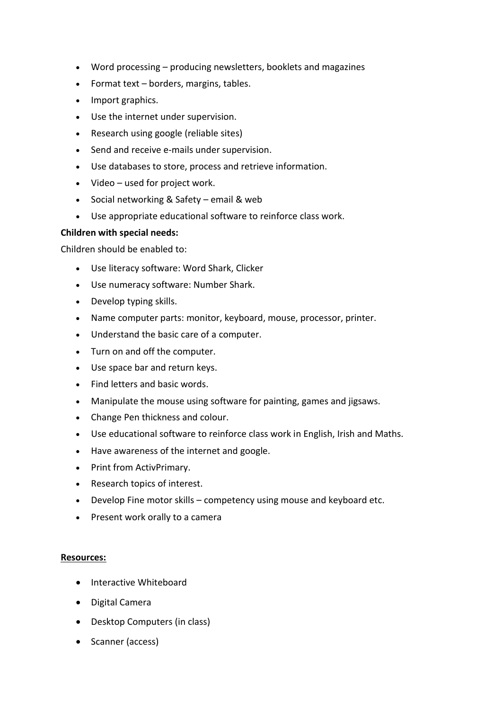- Word processing producing newsletters, booklets and magazines
- Format text borders, margins, tables.
- Import graphics.
- Use the internet under supervision.
- Research using google (reliable sites)
- Send and receive e-mails under supervision.
- Use databases to store, process and retrieve information.
- Video used for project work.
- Social networking & Safety email & web
- Use appropriate educational software to reinforce class work.

### **Children with special needs:**

Children should be enabled to:

- Use literacy software: Word Shark, Clicker
- Use numeracy software: Number Shark.
- Develop typing skills.
- Name computer parts: monitor, keyboard, mouse, processor, printer.
- Understand the basic care of a computer.
- Turn on and off the computer.
- Use space bar and return keys.
- Find letters and basic words.
- Manipulate the mouse using software for painting, games and jigsaws.
- Change Pen thickness and colour.
- Use educational software to reinforce class work in English, Irish and Maths.
- Have awareness of the internet and google.
- Print from ActivPrimary.
- Research topics of interest.
- Develop Fine motor skills competency using mouse and keyboard etc.
- Present work orally to a camera

### **Resources:**

- Interactive Whiteboard
- Digital Camera
- Desktop Computers (in class)
- Scanner (access)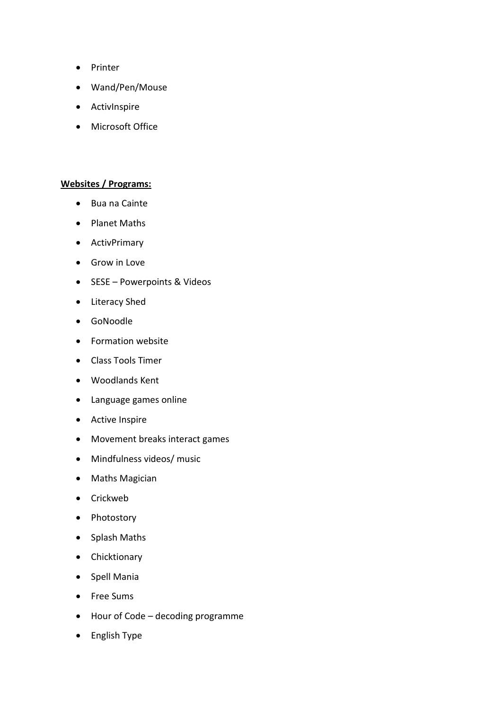- Printer
- Wand/Pen/Mouse
- ActivInspire
- Microsoft Office

### **Websites / Programs:**

- Bua na Cainte
- Planet Maths
- ActivPrimary
- **•** Grow in Love
- SESE Powerpoints & Videos
- Literacy Shed
- GoNoodle
- Formation website
- Class Tools Timer
- Woodlands Kent
- Language games online
- Active Inspire
- Movement breaks interact games
- Mindfulness videos/ music
- Maths Magician
- Crickweb
- Photostory
- Splash Maths
- Chicktionary
- Spell Mania
- Free Sums
- Hour of Code decoding programme
- English Type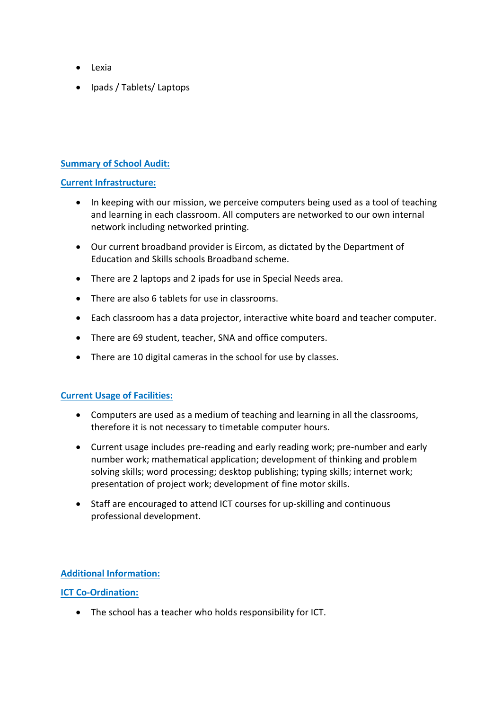- Lexia
- Ipads / Tablets/ Laptops

## **Summary of School Audit:**

### **Current Infrastructure:**

- In keeping with our mission, we perceive computers being used as a tool of teaching and learning in each classroom. All computers are networked to our own internal network including networked printing.
- Our current broadband provider is Eircom, as dictated by the Department of Education and Skills schools Broadband scheme.
- There are 2 laptops and 2 ipads for use in Special Needs area.
- There are also 6 tablets for use in classrooms.
- Each classroom has a data projector, interactive white board and teacher computer.
- There are 69 student, teacher, SNA and office computers.
- There are 10 digital cameras in the school for use by classes.

### **Current Usage of Facilities:**

- Computers are used as a medium of teaching and learning in all the classrooms, therefore it is not necessary to timetable computer hours.
- Current usage includes pre-reading and early reading work; pre-number and early number work; mathematical application; development of thinking and problem solving skills; word processing; desktop publishing; typing skills; internet work; presentation of project work; development of fine motor skills.
- Staff are encouraged to attend ICT courses for up-skilling and continuous professional development.

# **Additional Information:**

### **ICT Co-Ordination:**

The school has a teacher who holds responsibility for ICT.